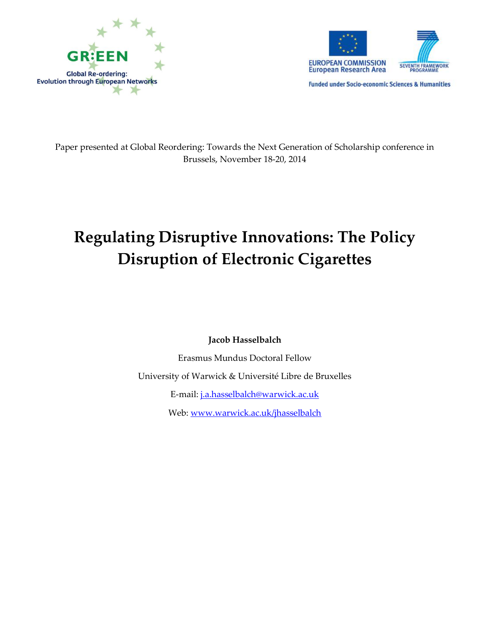



**Funded under Socio-economic Sciences & Humanities** 

Paper presented at Global Reordering: Towards the Next Generation of Scholarship conference in Brussels, November 18-20, 2014

# **Regulating Disruptive Innovations: The Policy Disruption of Electronic Cigarettes**

**Jacob Hasselbalch**

Erasmus Mundus Doctoral Fellow

University of Warwick & Université Libre de Bruxelles

E-mail: [j.a.hasselbalch@warwick.ac.uk](mailto:j.a.hasselbalch@warwick.ac.uk)

Web: [www.warwick.ac.uk/jhasselbalch](http://www.warwick.ac.uk/jhasselbalch)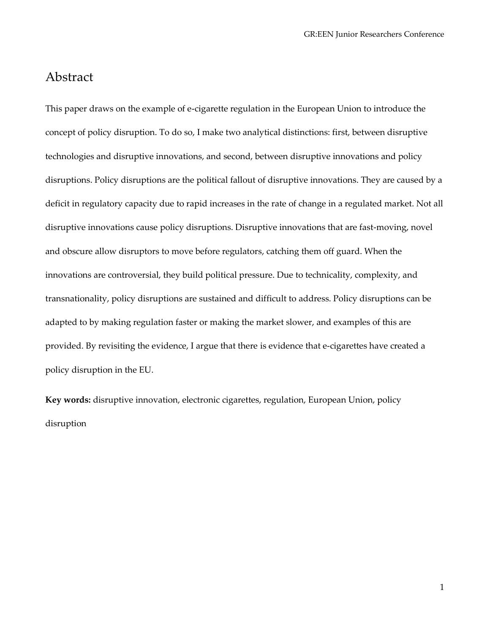### Abstract

This paper draws on the example of e-cigarette regulation in the European Union to introduce the concept of policy disruption. To do so, I make two analytical distinctions: first, between disruptive technologies and disruptive innovations, and second, between disruptive innovations and policy disruptions. Policy disruptions are the political fallout of disruptive innovations. They are caused by a deficit in regulatory capacity due to rapid increases in the rate of change in a regulated market. Not all disruptive innovations cause policy disruptions. Disruptive innovations that are fast-moving, novel and obscure allow disruptors to move before regulators, catching them off guard. When the innovations are controversial, they build political pressure. Due to technicality, complexity, and transnationality, policy disruptions are sustained and difficult to address. Policy disruptions can be adapted to by making regulation faster or making the market slower, and examples of this are provided. By revisiting the evidence, I argue that there is evidence that e-cigarettes have created a policy disruption in the EU.

**Key words:** disruptive innovation, electronic cigarettes, regulation, European Union, policy disruption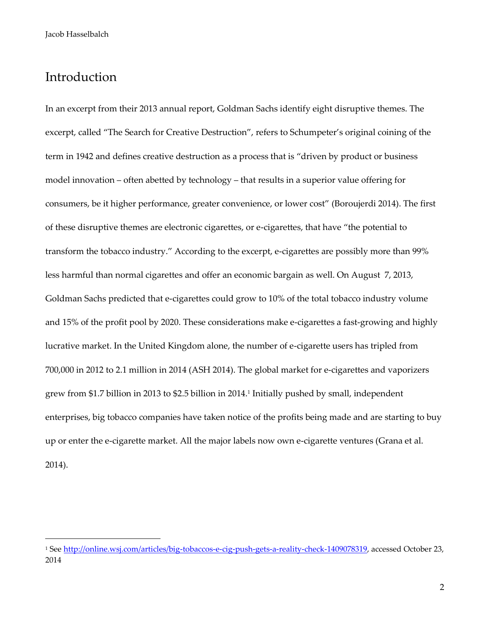## Introduction

1

In an excerpt from their 2013 annual report, Goldman Sachs identify eight disruptive themes. The excerpt, called "The Search for Creative Destruction", refers to Schumpeter's original coining of the term in 1942 and defines creative destruction as a process that is "driven by product or business model innovation – often abetted by technology – that results in a superior value offering for consumers, be it higher performance, greater convenience, or lower cost" (Boroujerdi 2014). The first of these disruptive themes are electronic cigarettes, or e-cigarettes, that have "the potential to transform the tobacco industry." According to the excerpt, e-cigarettes are possibly more than 99% less harmful than normal cigarettes and offer an economic bargain as well. On August 7, 2013, Goldman Sachs predicted that e-cigarettes could grow to 10% of the total tobacco industry volume and 15% of the profit pool by 2020. These considerations make e-cigarettes a fast-growing and highly lucrative market. In the United Kingdom alone, the number of e-cigarette users has tripled from 700,000 in 2012 to 2.1 million in 2014 (ASH 2014). The global market for e-cigarettes and vaporizers grew from \$1.7 billion in 2013 to \$2.5 billion in 2014.<sup>1</sup> Initially pushed by small, independent enterprises, big tobacco companies have taken notice of the profits being made and are starting to buy up or enter the e-cigarette market. All the major labels now own e-cigarette ventures (Grana et al. 2014).

<sup>&</sup>lt;sup>1</sup> See [http://online.wsj.com/articles/big-tobaccos-e-cig-push-gets-a-reality-check-1409078319,](http://online.wsj.com/articles/big-tobaccos-e-cig-push-gets-a-reality-check-1409078319) accessed October 23, 2014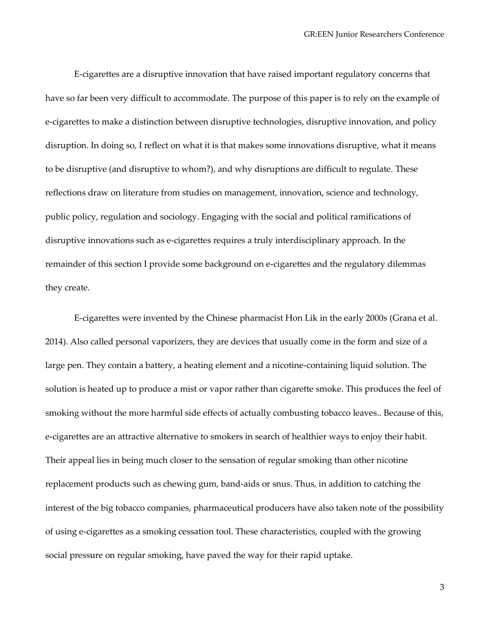E-cigarettes are a disruptive innovation that have raised important regulatory concerns that have so far been very difficult to accommodate. The purpose of this paper is to rely on the example of e-cigarettes to make a distinction between disruptive technologies, disruptive innovation, and policy disruption. In doing so, I reflect on what it is that makes some innovations disruptive, what it means to be disruptive (and disruptive to whom?), and why disruptions are difficult to regulate. These reflections draw on literature from studies on management, innovation, science and technology, public policy, regulation and sociology. Engaging with the social and political ramifications of disruptive innovations such as e-cigarettes requires a truly interdisciplinary approach. In the remainder of this section I provide some background on e-cigarettes and the regulatory dilemmas they create.

E-cigarettes were invented by the Chinese pharmacist Hon Lik in the early 2000s (Grana et al. 2014). Also called personal vaporizers, they are devices that usually come in the form and size of a large pen. They contain a battery, a heating element and a nicotine-containing liquid solution. The solution is heated up to produce a mist or vapor rather than cigarette smoke. This produces the feel of smoking without the more harmful side effects of actually combusting tobacco leaves.. Because of this, e-cigarettes are an attractive alternative to smokers in search of healthier ways to enjoy their habit. Their appeal lies in being much closer to the sensation of regular smoking than other nicotine replacement products such as chewing gum, band-aids or snus. Thus, in addition to catching the interest of the big tobacco companies, pharmaceutical producers have also taken note of the possibility of using e-cigarettes as a smoking cessation tool. These characteristics, coupled with the growing social pressure on regular smoking, have paved the way for their rapid uptake.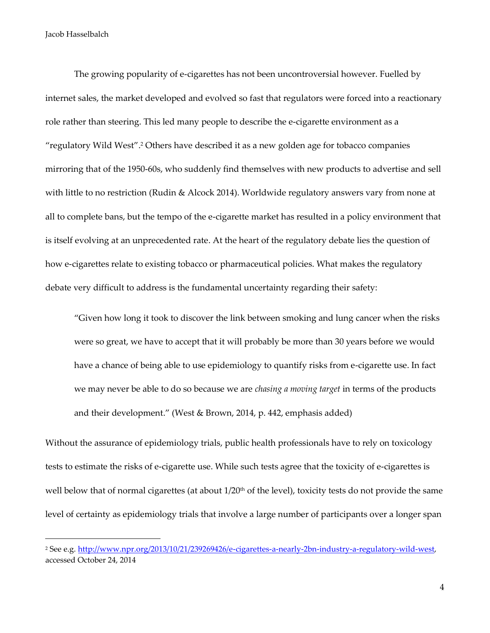1

The growing popularity of e-cigarettes has not been uncontroversial however. Fuelled by internet sales, the market developed and evolved so fast that regulators were forced into a reactionary role rather than steering. This led many people to describe the e-cigarette environment as a "regulatory Wild West". <sup>2</sup> Others have described it as a new golden age for tobacco companies mirroring that of the 1950-60s, who suddenly find themselves with new products to advertise and sell with little to no restriction (Rudin & Alcock 2014). Worldwide regulatory answers vary from none at all to complete bans, but the tempo of the e-cigarette market has resulted in a policy environment that is itself evolving at an unprecedented rate. At the heart of the regulatory debate lies the question of how e-cigarettes relate to existing tobacco or pharmaceutical policies. What makes the regulatory debate very difficult to address is the fundamental uncertainty regarding their safety:

"Given how long it took to discover the link between smoking and lung cancer when the risks were so great, we have to accept that it will probably be more than 30 years before we would have a chance of being able to use epidemiology to quantify risks from e-cigarette use. In fact we may never be able to do so because we are *chasing a moving target* in terms of the products and their development." (West & Brown, 2014, p. 442, emphasis added)

Without the assurance of epidemiology trials, public health professionals have to rely on toxicology tests to estimate the risks of e-cigarette use. While such tests agree that the toxicity of e-cigarettes is well below that of normal cigarettes (at about  $1/20<sup>th</sup>$  of the level), toxicity tests do not provide the same level of certainty as epidemiology trials that involve a large number of participants over a longer span

<sup>2</sup> See e.g. [http://www.npr.org/2013/10/21/239269426/e-cigarettes-a-nearly-2bn-industry-a-regulatory-wild-west,](http://www.npr.org/2013/10/21/239269426/e-cigarettes-a-nearly-2bn-industry-a-regulatory-wild-west) accessed October 24, 2014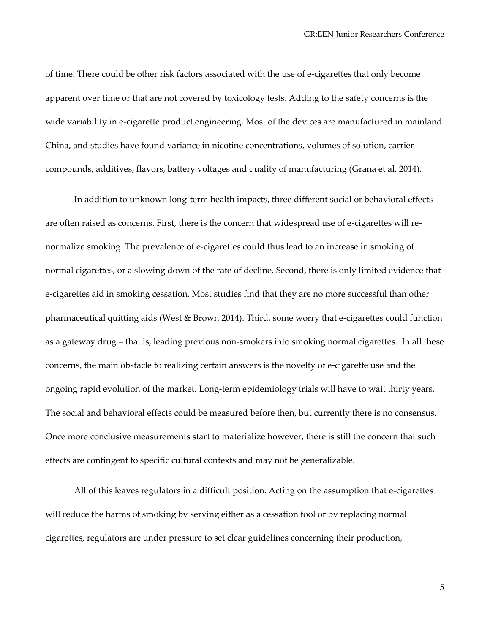of time. There could be other risk factors associated with the use of e-cigarettes that only become apparent over time or that are not covered by toxicology tests. Adding to the safety concerns is the wide variability in e-cigarette product engineering. Most of the devices are manufactured in mainland China, and studies have found variance in nicotine concentrations, volumes of solution, carrier compounds, additives, flavors, battery voltages and quality of manufacturing (Grana et al. 2014).

In addition to unknown long-term health impacts, three different social or behavioral effects are often raised as concerns. First, there is the concern that widespread use of e-cigarettes will renormalize smoking. The prevalence of e-cigarettes could thus lead to an increase in smoking of normal cigarettes, or a slowing down of the rate of decline. Second, there is only limited evidence that e-cigarettes aid in smoking cessation. Most studies find that they are no more successful than other pharmaceutical quitting aids (West & Brown 2014). Third, some worry that e-cigarettes could function as a gateway drug – that is, leading previous non-smokers into smoking normal cigarettes. In all these concerns, the main obstacle to realizing certain answers is the novelty of e-cigarette use and the ongoing rapid evolution of the market. Long-term epidemiology trials will have to wait thirty years. The social and behavioral effects could be measured before then, but currently there is no consensus. Once more conclusive measurements start to materialize however, there is still the concern that such effects are contingent to specific cultural contexts and may not be generalizable.

All of this leaves regulators in a difficult position. Acting on the assumption that e-cigarettes will reduce the harms of smoking by serving either as a cessation tool or by replacing normal cigarettes, regulators are under pressure to set clear guidelines concerning their production,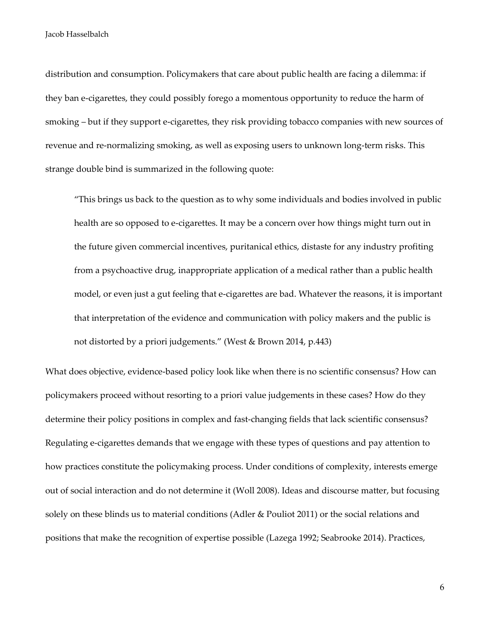distribution and consumption. Policymakers that care about public health are facing a dilemma: if they ban e-cigarettes, they could possibly forego a momentous opportunity to reduce the harm of smoking – but if they support e-cigarettes, they risk providing tobacco companies with new sources of revenue and re-normalizing smoking, as well as exposing users to unknown long-term risks. This strange double bind is summarized in the following quote:

"This brings us back to the question as to why some individuals and bodies involved in public health are so opposed to e-cigarettes. It may be a concern over how things might turn out in the future given commercial incentives, puritanical ethics, distaste for any industry profiting from a psychoactive drug, inappropriate application of a medical rather than a public health model, or even just a gut feeling that e-cigarettes are bad. Whatever the reasons, it is important that interpretation of the evidence and communication with policy makers and the public is not distorted by a priori judgements." (West & Brown 2014, p.443)

What does objective, evidence-based policy look like when there is no scientific consensus? How can policymakers proceed without resorting to a priori value judgements in these cases? How do they determine their policy positions in complex and fast-changing fields that lack scientific consensus? Regulating e-cigarettes demands that we engage with these types of questions and pay attention to how practices constitute the policymaking process. Under conditions of complexity, interests emerge out of social interaction and do not determine it (Woll 2008). Ideas and discourse matter, but focusing solely on these blinds us to material conditions (Adler & Pouliot 2011) or the social relations and positions that make the recognition of expertise possible (Lazega 1992; Seabrooke 2014). Practices,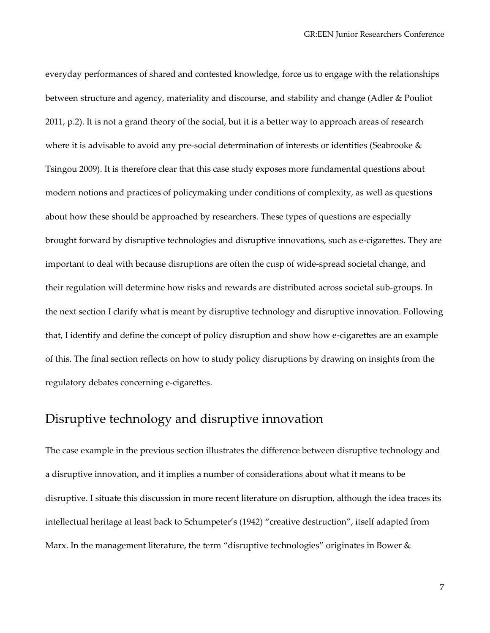everyday performances of shared and contested knowledge, force us to engage with the relationships between structure and agency, materiality and discourse, and stability and change (Adler & Pouliot 2011, p.2). It is not a grand theory of the social, but it is a better way to approach areas of research where it is advisable to avoid any pre-social determination of interests or identities (Seabrooke & Tsingou 2009). It is therefore clear that this case study exposes more fundamental questions about modern notions and practices of policymaking under conditions of complexity, as well as questions about how these should be approached by researchers. These types of questions are especially brought forward by disruptive technologies and disruptive innovations, such as e-cigarettes. They are important to deal with because disruptions are often the cusp of wide-spread societal change, and their regulation will determine how risks and rewards are distributed across societal sub-groups. In the next section I clarify what is meant by disruptive technology and disruptive innovation. Following that, I identify and define the concept of policy disruption and show how e-cigarettes are an example of this. The final section reflects on how to study policy disruptions by drawing on insights from the regulatory debates concerning e-cigarettes.

## Disruptive technology and disruptive innovation

The case example in the previous section illustrates the difference between disruptive technology and a disruptive innovation, and it implies a number of considerations about what it means to be disruptive. I situate this discussion in more recent literature on disruption, although the idea traces its intellectual heritage at least back to Schumpeter's (1942) "creative destruction", itself adapted from Marx. In the management literature, the term "disruptive technologies" originates in Bower &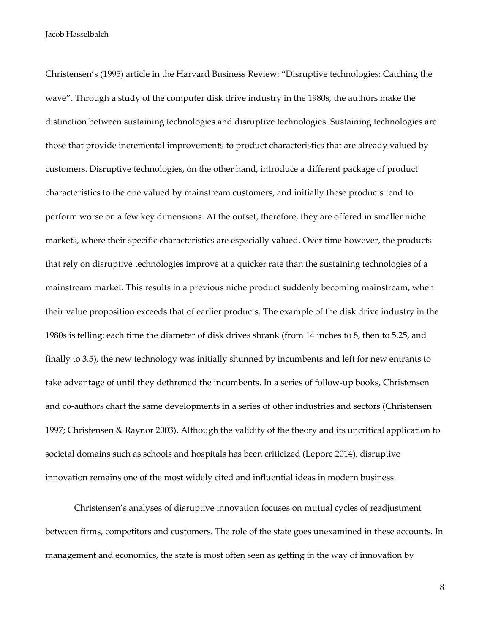Christensen's (1995) article in the Harvard Business Review: "Disruptive technologies: Catching the wave". Through a study of the computer disk drive industry in the 1980s, the authors make the distinction between sustaining technologies and disruptive technologies. Sustaining technologies are those that provide incremental improvements to product characteristics that are already valued by customers. Disruptive technologies, on the other hand, introduce a different package of product characteristics to the one valued by mainstream customers, and initially these products tend to perform worse on a few key dimensions. At the outset, therefore, they are offered in smaller niche markets, where their specific characteristics are especially valued. Over time however, the products that rely on disruptive technologies improve at a quicker rate than the sustaining technologies of a mainstream market. This results in a previous niche product suddenly becoming mainstream, when their value proposition exceeds that of earlier products. The example of the disk drive industry in the 1980s is telling: each time the diameter of disk drives shrank (from 14 inches to 8, then to 5.25, and finally to 3.5), the new technology was initially shunned by incumbents and left for new entrants to take advantage of until they dethroned the incumbents. In a series of follow-up books, Christensen and co-authors chart the same developments in a series of other industries and sectors (Christensen 1997; Christensen & Raynor 2003). Although the validity of the theory and its uncritical application to societal domains such as schools and hospitals has been criticized (Lepore 2014), disruptive innovation remains one of the most widely cited and influential ideas in modern business.

Christensen's analyses of disruptive innovation focuses on mutual cycles of readjustment between firms, competitors and customers. The role of the state goes unexamined in these accounts. In management and economics, the state is most often seen as getting in the way of innovation by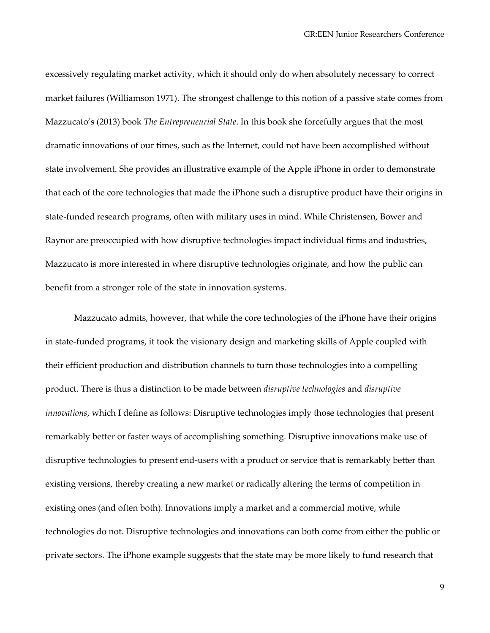excessively regulating market activity, which it should only do when absolutely necessary to correct market failures (Williamson 1971). The strongest challenge to this notion of a passive state comes from Mazzucato's (2013) book *The Entrepreneurial State*. In this book she forcefully argues that the most dramatic innovations of our times, such as the Internet, could not have been accomplished without state involvement. She provides an illustrative example of the Apple iPhone in order to demonstrate that each of the core technologies that made the iPhone such a disruptive product have their origins in state-funded research programs, often with military uses in mind. While Christensen, Bower and Raynor are preoccupied with how disruptive technologies impact individual firms and industries, Mazzucato is more interested in where disruptive technologies originate, and how the public can benefit from a stronger role of the state in innovation systems.

Mazzucato admits, however, that while the core technologies of the iPhone have their origins in state-funded programs, it took the visionary design and marketing skills of Apple coupled with their efficient production and distribution channels to turn those technologies into a compelling product. There is thus a distinction to be made between *disruptive technologies* and *disruptive innovations*, which I define as follows: Disruptive technologies imply those technologies that present remarkably better or faster ways of accomplishing something. Disruptive innovations make use of disruptive technologies to present end-users with a product or service that is remarkably better than existing versions, thereby creating a new market or radically altering the terms of competition in existing ones (and often both). Innovations imply a market and a commercial motive, while technologies do not. Disruptive technologies and innovations can both come from either the public or private sectors. The iPhone example suggests that the state may be more likely to fund research that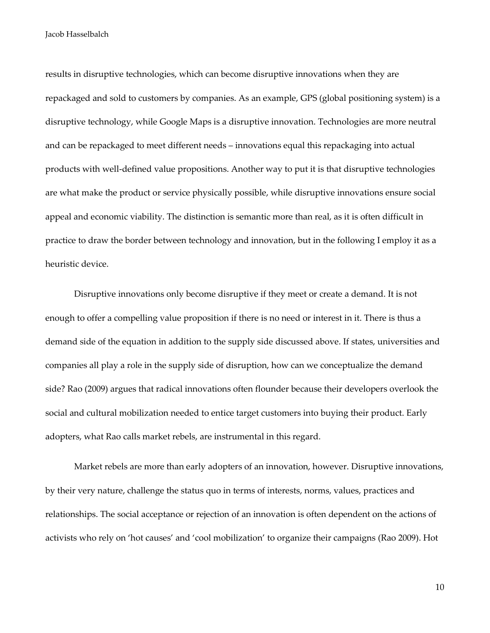results in disruptive technologies, which can become disruptive innovations when they are repackaged and sold to customers by companies. As an example, GPS (global positioning system) is a disruptive technology, while Google Maps is a disruptive innovation. Technologies are more neutral and can be repackaged to meet different needs – innovations equal this repackaging into actual products with well-defined value propositions. Another way to put it is that disruptive technologies are what make the product or service physically possible, while disruptive innovations ensure social appeal and economic viability. The distinction is semantic more than real, as it is often difficult in practice to draw the border between technology and innovation, but in the following I employ it as a heuristic device.

Disruptive innovations only become disruptive if they meet or create a demand. It is not enough to offer a compelling value proposition if there is no need or interest in it. There is thus a demand side of the equation in addition to the supply side discussed above. If states, universities and companies all play a role in the supply side of disruption, how can we conceptualize the demand side? Rao (2009) argues that radical innovations often flounder because their developers overlook the social and cultural mobilization needed to entice target customers into buying their product. Early adopters, what Rao calls market rebels, are instrumental in this regard.

Market rebels are more than early adopters of an innovation, however. Disruptive innovations, by their very nature, challenge the status quo in terms of interests, norms, values, practices and relationships. The social acceptance or rejection of an innovation is often dependent on the actions of activists who rely on 'hot causes' and 'cool mobilization' to organize their campaigns (Rao 2009). Hot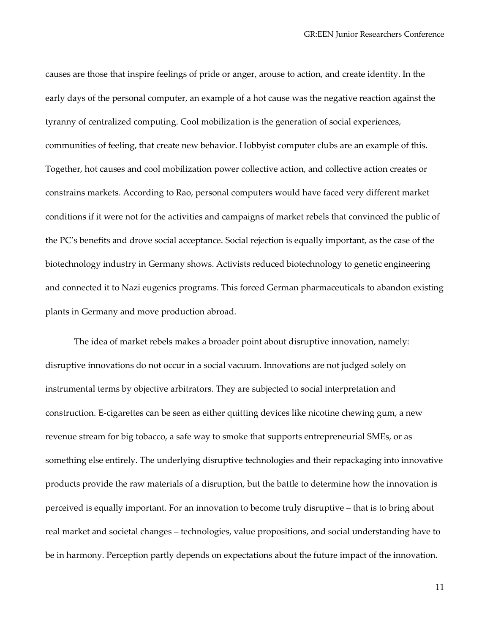causes are those that inspire feelings of pride or anger, arouse to action, and create identity. In the early days of the personal computer, an example of a hot cause was the negative reaction against the tyranny of centralized computing. Cool mobilization is the generation of social experiences, communities of feeling, that create new behavior. Hobbyist computer clubs are an example of this. Together, hot causes and cool mobilization power collective action, and collective action creates or constrains markets. According to Rao, personal computers would have faced very different market conditions if it were not for the activities and campaigns of market rebels that convinced the public of the PC's benefits and drove social acceptance. Social rejection is equally important, as the case of the biotechnology industry in Germany shows. Activists reduced biotechnology to genetic engineering and connected it to Nazi eugenics programs. This forced German pharmaceuticals to abandon existing plants in Germany and move production abroad.

The idea of market rebels makes a broader point about disruptive innovation, namely: disruptive innovations do not occur in a social vacuum. Innovations are not judged solely on instrumental terms by objective arbitrators. They are subjected to social interpretation and construction. E-cigarettes can be seen as either quitting devices like nicotine chewing gum, a new revenue stream for big tobacco, a safe way to smoke that supports entrepreneurial SMEs, or as something else entirely. The underlying disruptive technologies and their repackaging into innovative products provide the raw materials of a disruption, but the battle to determine how the innovation is perceived is equally important. For an innovation to become truly disruptive – that is to bring about real market and societal changes – technologies, value propositions, and social understanding have to be in harmony. Perception partly depends on expectations about the future impact of the innovation.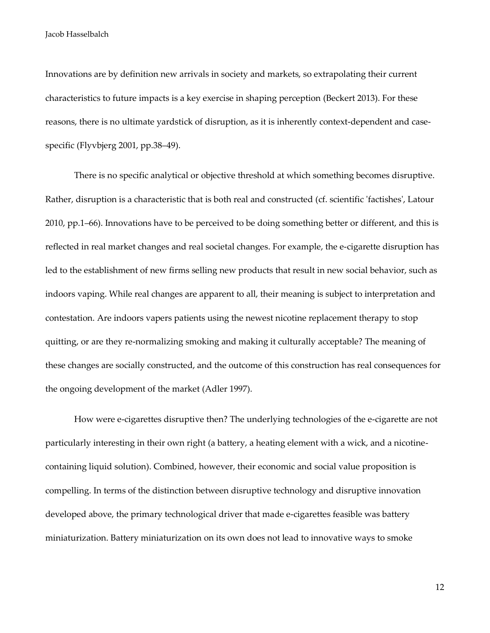Innovations are by definition new arrivals in society and markets, so extrapolating their current characteristics to future impacts is a key exercise in shaping perception (Beckert 2013). For these reasons, there is no ultimate yardstick of disruption, as it is inherently context-dependent and casespecific (Flyvbjerg 2001, pp.38–49).

There is no specific analytical or objective threshold at which something becomes disruptive. Rather, disruption is a characteristic that is both real and constructed (cf. scientific 'factishes', Latour 2010, pp.1–66). Innovations have to be perceived to be doing something better or different, and this is reflected in real market changes and real societal changes. For example, the e-cigarette disruption has led to the establishment of new firms selling new products that result in new social behavior, such as indoors vaping. While real changes are apparent to all, their meaning is subject to interpretation and contestation. Are indoors vapers patients using the newest nicotine replacement therapy to stop quitting, or are they re-normalizing smoking and making it culturally acceptable? The meaning of these changes are socially constructed, and the outcome of this construction has real consequences for the ongoing development of the market (Adler 1997).

How were e-cigarettes disruptive then? The underlying technologies of the e-cigarette are not particularly interesting in their own right (a battery, a heating element with a wick, and a nicotinecontaining liquid solution). Combined, however, their economic and social value proposition is compelling. In terms of the distinction between disruptive technology and disruptive innovation developed above, the primary technological driver that made e-cigarettes feasible was battery miniaturization. Battery miniaturization on its own does not lead to innovative ways to smoke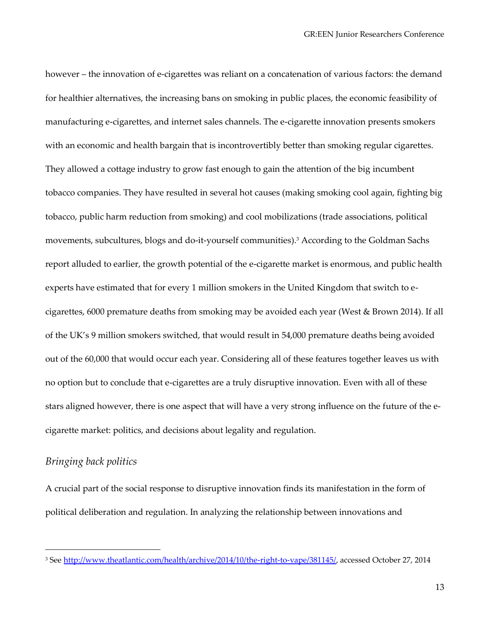however – the innovation of e-cigarettes was reliant on a concatenation of various factors: the demand for healthier alternatives, the increasing bans on smoking in public places, the economic feasibility of manufacturing e-cigarettes, and internet sales channels. The e-cigarette innovation presents smokers with an economic and health bargain that is incontrovertibly better than smoking regular cigarettes. They allowed a cottage industry to grow fast enough to gain the attention of the big incumbent tobacco companies. They have resulted in several hot causes (making smoking cool again, fighting big tobacco, public harm reduction from smoking) and cool mobilizations (trade associations, political movements, subcultures, blogs and do-it-yourself communities).<sup>3</sup> According to the Goldman Sachs report alluded to earlier, the growth potential of the e-cigarette market is enormous, and public health experts have estimated that for every 1 million smokers in the United Kingdom that switch to ecigarettes, 6000 premature deaths from smoking may be avoided each year (West & Brown 2014). If all of the UK's 9 million smokers switched, that would result in 54,000 premature deaths being avoided out of the 60,000 that would occur each year. Considering all of these features together leaves us with no option but to conclude that e-cigarettes are a truly disruptive innovation. Even with all of these stars aligned however, there is one aspect that will have a very strong influence on the future of the ecigarette market: politics, and decisions about legality and regulation.

#### *Bringing back politics*

1

A crucial part of the social response to disruptive innovation finds its manifestation in the form of political deliberation and regulation. In analyzing the relationship between innovations and

<sup>&</sup>lt;sup>3</sup> See [http://www.theatlantic.com/health/archive/2014/10/the-right-to-vape/381145/,](http://www.theatlantic.com/health/archive/2014/10/the-right-to-vape/381145/) accessed October 27, 2014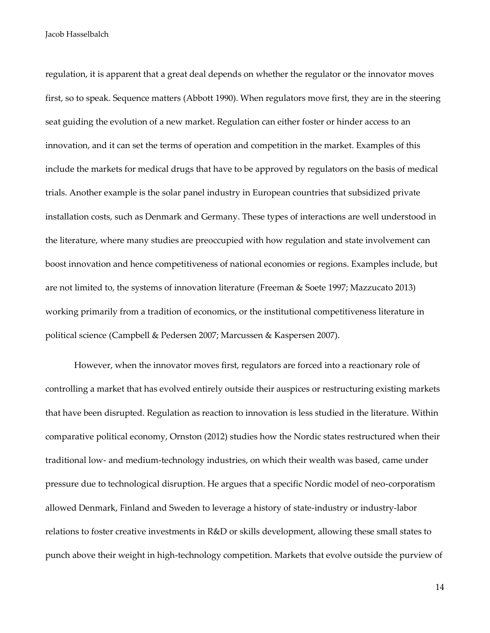regulation, it is apparent that a great deal depends on whether the regulator or the innovator moves first, so to speak. Sequence matters (Abbott 1990). When regulators move first, they are in the steering seat guiding the evolution of a new market. Regulation can either foster or hinder access to an innovation, and it can set the terms of operation and competition in the market. Examples of this include the markets for medical drugs that have to be approved by regulators on the basis of medical trials. Another example is the solar panel industry in European countries that subsidized private installation costs, such as Denmark and Germany. These types of interactions are well understood in the literature, where many studies are preoccupied with how regulation and state involvement can boost innovation and hence competitiveness of national economies or regions. Examples include, but are not limited to, the systems of innovation literature (Freeman & Soete 1997; Mazzucato 2013) working primarily from a tradition of economics, or the institutional competitiveness literature in political science (Campbell & Pedersen 2007; Marcussen & Kaspersen 2007).

However, when the innovator moves first, regulators are forced into a reactionary role of controlling a market that has evolved entirely outside their auspices or restructuring existing markets that have been disrupted. Regulation as reaction to innovation is less studied in the literature. Within comparative political economy, Ornston (2012) studies how the Nordic states restructured when their traditional low- and medium-technology industries, on which their wealth was based, came under pressure due to technological disruption. He argues that a specific Nordic model of neo-corporatism allowed Denmark, Finland and Sweden to leverage a history of state-industry or industry-labor relations to foster creative investments in R&D or skills development, allowing these small states to punch above their weight in high-technology competition. Markets that evolve outside the purview of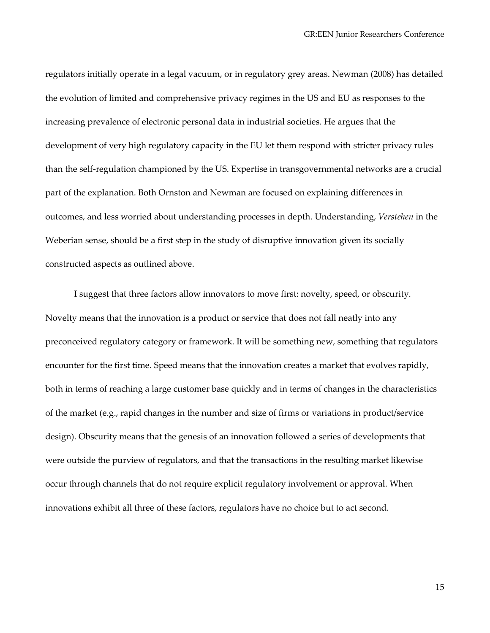regulators initially operate in a legal vacuum, or in regulatory grey areas. Newman (2008) has detailed the evolution of limited and comprehensive privacy regimes in the US and EU as responses to the increasing prevalence of electronic personal data in industrial societies. He argues that the development of very high regulatory capacity in the EU let them respond with stricter privacy rules than the self-regulation championed by the US. Expertise in transgovernmental networks are a crucial part of the explanation. Both Ornston and Newman are focused on explaining differences in outcomes, and less worried about understanding processes in depth. Understanding, *Verstehen* in the Weberian sense, should be a first step in the study of disruptive innovation given its socially constructed aspects as outlined above.

I suggest that three factors allow innovators to move first: novelty, speed, or obscurity. Novelty means that the innovation is a product or service that does not fall neatly into any preconceived regulatory category or framework. It will be something new, something that regulators encounter for the first time. Speed means that the innovation creates a market that evolves rapidly, both in terms of reaching a large customer base quickly and in terms of changes in the characteristics of the market (e.g., rapid changes in the number and size of firms or variations in product/service design). Obscurity means that the genesis of an innovation followed a series of developments that were outside the purview of regulators, and that the transactions in the resulting market likewise occur through channels that do not require explicit regulatory involvement or approval. When innovations exhibit all three of these factors, regulators have no choice but to act second.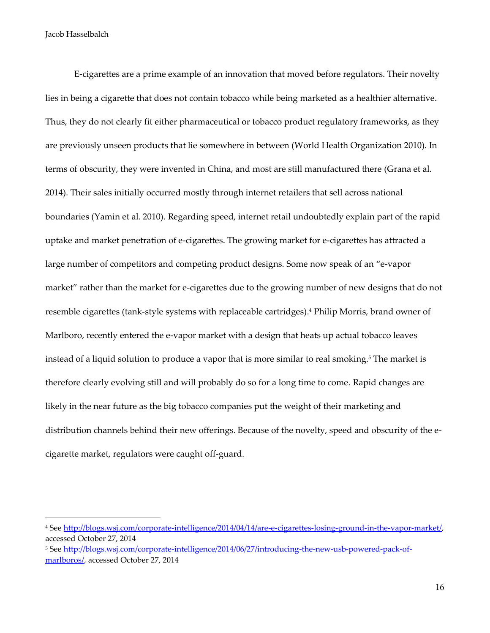1

E-cigarettes are a prime example of an innovation that moved before regulators. Their novelty lies in being a cigarette that does not contain tobacco while being marketed as a healthier alternative. Thus, they do not clearly fit either pharmaceutical or tobacco product regulatory frameworks, as they are previously unseen products that lie somewhere in between (World Health Organization 2010). In terms of obscurity, they were invented in China, and most are still manufactured there (Grana et al. 2014). Their sales initially occurred mostly through internet retailers that sell across national boundaries (Yamin et al. 2010). Regarding speed, internet retail undoubtedly explain part of the rapid uptake and market penetration of e-cigarettes. The growing market for e-cigarettes has attracted a large number of competitors and competing product designs. Some now speak of an "e-vapor market" rather than the market for e-cigarettes due to the growing number of new designs that do not resemble cigarettes (tank-style systems with replaceable cartridges). <sup>4</sup> Philip Morris, brand owner of Marlboro, recently entered the e-vapor market with a design that heats up actual tobacco leaves instead of a liquid solution to produce a vapor that is more similar to real smoking.<sup>5</sup> The market is therefore clearly evolving still and will probably do so for a long time to come. Rapid changes are likely in the near future as the big tobacco companies put the weight of their marketing and distribution channels behind their new offerings. Because of the novelty, speed and obscurity of the ecigarette market, regulators were caught off-guard.

<sup>4</sup> See [http://blogs.wsj.com/corporate-intelligence/2014/04/14/are-e-cigarettes-losing-ground-in-the-vapor-market/,](http://blogs.wsj.com/corporate-intelligence/2014/04/14/are-e-cigarettes-losing-ground-in-the-vapor-market/) accessed October 27, 2014

<sup>&</sup>lt;sup>5</sup> See [http://blogs.wsj.com/corporate-intelligence/2014/06/27/introducing-the-new-usb-powered-pack-of](http://blogs.wsj.com/corporate-intelligence/2014/06/27/introducing-the-new-usb-powered-pack-of-marlboros/)[marlboros/,](http://blogs.wsj.com/corporate-intelligence/2014/06/27/introducing-the-new-usb-powered-pack-of-marlboros/) accessed October 27, 2014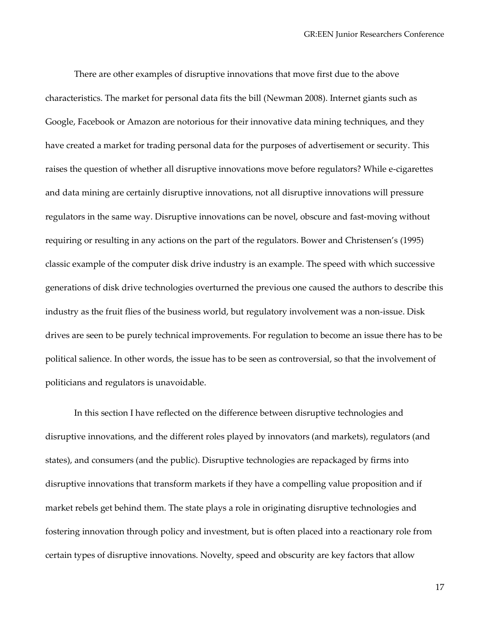There are other examples of disruptive innovations that move first due to the above characteristics. The market for personal data fits the bill (Newman 2008). Internet giants such as Google, Facebook or Amazon are notorious for their innovative data mining techniques, and they have created a market for trading personal data for the purposes of advertisement or security. This raises the question of whether all disruptive innovations move before regulators? While e-cigarettes and data mining are certainly disruptive innovations, not all disruptive innovations will pressure regulators in the same way. Disruptive innovations can be novel, obscure and fast-moving without requiring or resulting in any actions on the part of the regulators. Bower and Christensen's (1995) classic example of the computer disk drive industry is an example. The speed with which successive generations of disk drive technologies overturned the previous one caused the authors to describe this industry as the fruit flies of the business world, but regulatory involvement was a non-issue. Disk drives are seen to be purely technical improvements. For regulation to become an issue there has to be political salience. In other words, the issue has to be seen as controversial, so that the involvement of politicians and regulators is unavoidable.

In this section I have reflected on the difference between disruptive technologies and disruptive innovations, and the different roles played by innovators (and markets), regulators (and states), and consumers (and the public). Disruptive technologies are repackaged by firms into disruptive innovations that transform markets if they have a compelling value proposition and if market rebels get behind them. The state plays a role in originating disruptive technologies and fostering innovation through policy and investment, but is often placed into a reactionary role from certain types of disruptive innovations. Novelty, speed and obscurity are key factors that allow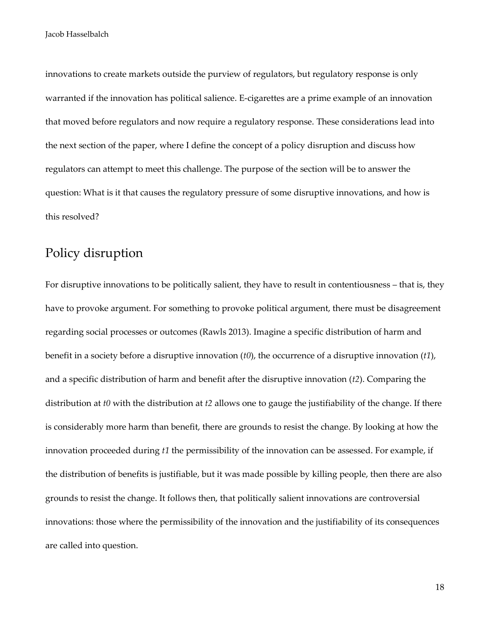innovations to create markets outside the purview of regulators, but regulatory response is only warranted if the innovation has political salience. E-cigarettes are a prime example of an innovation that moved before regulators and now require a regulatory response. These considerations lead into the next section of the paper, where I define the concept of a policy disruption and discuss how regulators can attempt to meet this challenge. The purpose of the section will be to answer the question: What is it that causes the regulatory pressure of some disruptive innovations, and how is this resolved?

## Policy disruption

For disruptive innovations to be politically salient, they have to result in contentiousness – that is, they have to provoke argument. For something to provoke political argument, there must be disagreement regarding social processes or outcomes (Rawls 2013). Imagine a specific distribution of harm and benefit in a society before a disruptive innovation (*t0*), the occurrence of a disruptive innovation (*t1*), and a specific distribution of harm and benefit after the disruptive innovation (*t2*). Comparing the distribution at *t0* with the distribution at *t2* allows one to gauge the justifiability of the change. If there is considerably more harm than benefit, there are grounds to resist the change. By looking at how the innovation proceeded during *t1* the permissibility of the innovation can be assessed. For example, if the distribution of benefits is justifiable, but it was made possible by killing people, then there are also grounds to resist the change. It follows then, that politically salient innovations are controversial innovations: those where the permissibility of the innovation and the justifiability of its consequences are called into question.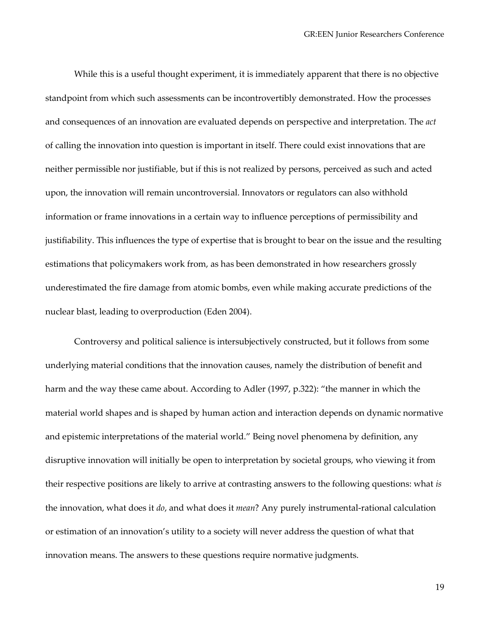While this is a useful thought experiment, it is immediately apparent that there is no objective standpoint from which such assessments can be incontrovertibly demonstrated. How the processes and consequences of an innovation are evaluated depends on perspective and interpretation. The *act* of calling the innovation into question is important in itself. There could exist innovations that are neither permissible nor justifiable, but if this is not realized by persons, perceived as such and acted upon, the innovation will remain uncontroversial. Innovators or regulators can also withhold information or frame innovations in a certain way to influence perceptions of permissibility and justifiability. This influences the type of expertise that is brought to bear on the issue and the resulting estimations that policymakers work from, as has been demonstrated in how researchers grossly underestimated the fire damage from atomic bombs, even while making accurate predictions of the nuclear blast, leading to overproduction (Eden 2004).

Controversy and political salience is intersubjectively constructed, but it follows from some underlying material conditions that the innovation causes, namely the distribution of benefit and harm and the way these came about. According to Adler (1997, p.322): "the manner in which the material world shapes and is shaped by human action and interaction depends on dynamic normative and epistemic interpretations of the material world." Being novel phenomena by definition, any disruptive innovation will initially be open to interpretation by societal groups, who viewing it from their respective positions are likely to arrive at contrasting answers to the following questions: what *is* the innovation, what does it *do*, and what does it *mean*? Any purely instrumental-rational calculation or estimation of an innovation's utility to a society will never address the question of what that innovation means. The answers to these questions require normative judgments.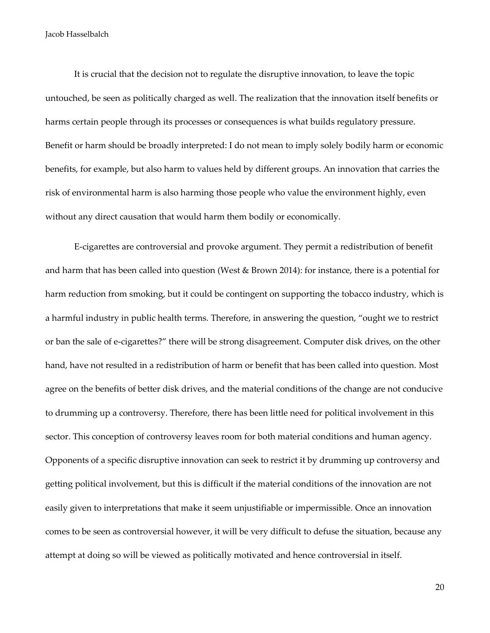It is crucial that the decision not to regulate the disruptive innovation, to leave the topic untouched, be seen as politically charged as well. The realization that the innovation itself benefits or harms certain people through its processes or consequences is what builds regulatory pressure. Benefit or harm should be broadly interpreted: I do not mean to imply solely bodily harm or economic benefits, for example, but also harm to values held by different groups. An innovation that carries the risk of environmental harm is also harming those people who value the environment highly, even without any direct causation that would harm them bodily or economically.

E-cigarettes are controversial and provoke argument. They permit a redistribution of benefit and harm that has been called into question (West & Brown 2014): for instance, there is a potential for harm reduction from smoking, but it could be contingent on supporting the tobacco industry, which is a harmful industry in public health terms. Therefore, in answering the question, "ought we to restrict or ban the sale of e-cigarettes?" there will be strong disagreement. Computer disk drives, on the other hand, have not resulted in a redistribution of harm or benefit that has been called into question. Most agree on the benefits of better disk drives, and the material conditions of the change are not conducive to drumming up a controversy. Therefore, there has been little need for political involvement in this sector. This conception of controversy leaves room for both material conditions and human agency. Opponents of a specific disruptive innovation can seek to restrict it by drumming up controversy and getting political involvement, but this is difficult if the material conditions of the innovation are not easily given to interpretations that make it seem unjustifiable or impermissible. Once an innovation comes to be seen as controversial however, it will be very difficult to defuse the situation, because any attempt at doing so will be viewed as politically motivated and hence controversial in itself.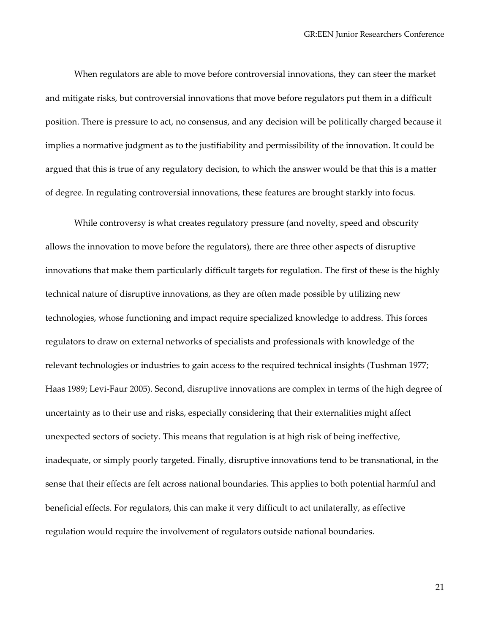When regulators are able to move before controversial innovations, they can steer the market and mitigate risks, but controversial innovations that move before regulators put them in a difficult position. There is pressure to act, no consensus, and any decision will be politically charged because it implies a normative judgment as to the justifiability and permissibility of the innovation. It could be argued that this is true of any regulatory decision, to which the answer would be that this is a matter of degree. In regulating controversial innovations, these features are brought starkly into focus.

While controversy is what creates regulatory pressure (and novelty, speed and obscurity allows the innovation to move before the regulators), there are three other aspects of disruptive innovations that make them particularly difficult targets for regulation. The first of these is the highly technical nature of disruptive innovations, as they are often made possible by utilizing new technologies, whose functioning and impact require specialized knowledge to address. This forces regulators to draw on external networks of specialists and professionals with knowledge of the relevant technologies or industries to gain access to the required technical insights (Tushman 1977; Haas 1989; Levi-Faur 2005). Second, disruptive innovations are complex in terms of the high degree of uncertainty as to their use and risks, especially considering that their externalities might affect unexpected sectors of society. This means that regulation is at high risk of being ineffective, inadequate, or simply poorly targeted. Finally, disruptive innovations tend to be transnational, in the sense that their effects are felt across national boundaries. This applies to both potential harmful and beneficial effects. For regulators, this can make it very difficult to act unilaterally, as effective regulation would require the involvement of regulators outside national boundaries.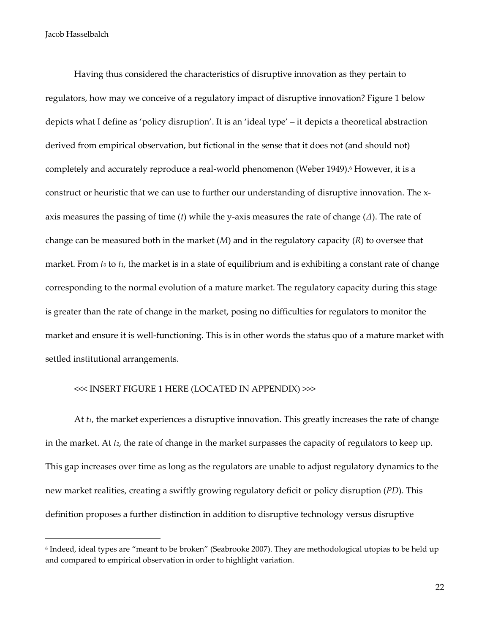1

Having thus considered the characteristics of disruptive innovation as they pertain to regulators, how may we conceive of a regulatory impact of disruptive innovation? Figure 1 below depicts what I define as 'policy disruption'. It is an 'ideal type' – it depicts a theoretical abstraction derived from empirical observation, but fictional in the sense that it does not (and should not) completely and accurately reproduce a real-world phenomenon (Weber 1949). <sup>6</sup> However, it is a construct or heuristic that we can use to further our understanding of disruptive innovation. The xaxis measures the passing of time (*t*) while the y-axis measures the rate of change (*∆*). The rate of change can be measured both in the market (*M*) and in the regulatory capacity (*R*) to oversee that market. From *t<sub>0</sub>* to *t<sub>1</sub>*, the market is in a state of equilibrium and is exhibiting a constant rate of change corresponding to the normal evolution of a mature market. The regulatory capacity during this stage is greater than the rate of change in the market, posing no difficulties for regulators to monitor the market and ensure it is well-functioning. This is in other words the status quo of a mature market with settled institutional arrangements.

#### <<< INSERT FIGURE 1 HERE (LOCATED IN APPENDIX) >>>

At *t1*, the market experiences a disruptive innovation. This greatly increases the rate of change in the market. At *t2*, the rate of change in the market surpasses the capacity of regulators to keep up. This gap increases over time as long as the regulators are unable to adjust regulatory dynamics to the new market realities, creating a swiftly growing regulatory deficit or policy disruption (*PD*). This definition proposes a further distinction in addition to disruptive technology versus disruptive

<sup>6</sup> Indeed, ideal types are "meant to be broken" (Seabrooke 2007). They are methodological utopias to be held up and compared to empirical observation in order to highlight variation.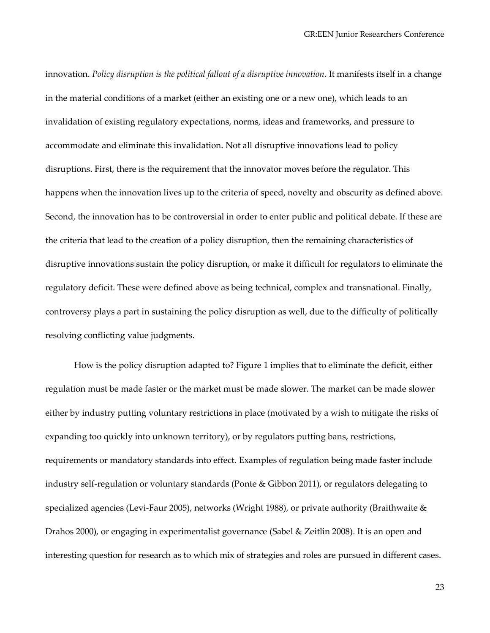innovation. *Policy disruption is the political fallout of a disruptive innovation*. It manifests itself in a change in the material conditions of a market (either an existing one or a new one), which leads to an invalidation of existing regulatory expectations, norms, ideas and frameworks, and pressure to accommodate and eliminate this invalidation. Not all disruptive innovations lead to policy disruptions. First, there is the requirement that the innovator moves before the regulator. This happens when the innovation lives up to the criteria of speed, novelty and obscurity as defined above. Second, the innovation has to be controversial in order to enter public and political debate. If these are the criteria that lead to the creation of a policy disruption, then the remaining characteristics of disruptive innovations sustain the policy disruption, or make it difficult for regulators to eliminate the regulatory deficit. These were defined above as being technical, complex and transnational. Finally, controversy plays a part in sustaining the policy disruption as well, due to the difficulty of politically resolving conflicting value judgments.

How is the policy disruption adapted to? Figure 1 implies that to eliminate the deficit, either regulation must be made faster or the market must be made slower. The market can be made slower either by industry putting voluntary restrictions in place (motivated by a wish to mitigate the risks of expanding too quickly into unknown territory), or by regulators putting bans, restrictions, requirements or mandatory standards into effect. Examples of regulation being made faster include industry self-regulation or voluntary standards (Ponte & Gibbon 2011), or regulators delegating to specialized agencies (Levi-Faur 2005), networks (Wright 1988), or private authority (Braithwaite & Drahos 2000), or engaging in experimentalist governance (Sabel & Zeitlin 2008). It is an open and interesting question for research as to which mix of strategies and roles are pursued in different cases.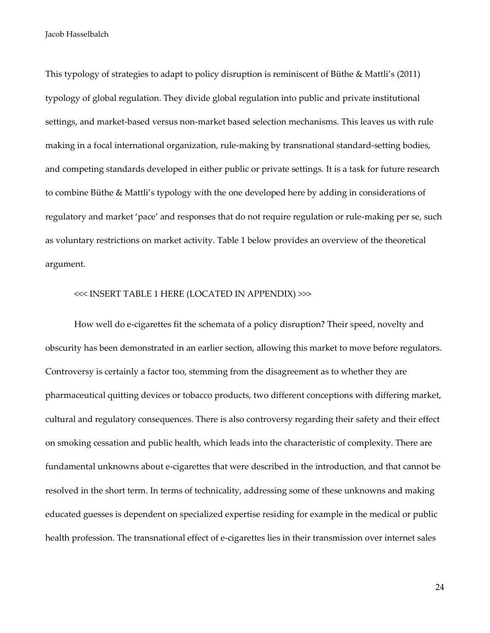This typology of strategies to adapt to policy disruption is reminiscent of Büthe & Mattli's (2011) typology of global regulation. They divide global regulation into public and private institutional settings, and market-based versus non-market based selection mechanisms. This leaves us with rule making in a focal international organization, rule-making by transnational standard-setting bodies, and competing standards developed in either public or private settings. It is a task for future research to combine Büthe & Mattli's typology with the one developed here by adding in considerations of regulatory and market 'pace' and responses that do not require regulation or rule-making per se, such as voluntary restrictions on market activity. Table 1 below provides an overview of the theoretical argument.

#### <<< INSERT TABLE 1 HERE (LOCATED IN APPENDIX) >>>

How well do e-cigarettes fit the schemata of a policy disruption? Their speed, novelty and obscurity has been demonstrated in an earlier section, allowing this market to move before regulators. Controversy is certainly a factor too, stemming from the disagreement as to whether they are pharmaceutical quitting devices or tobacco products, two different conceptions with differing market, cultural and regulatory consequences. There is also controversy regarding their safety and their effect on smoking cessation and public health, which leads into the characteristic of complexity. There are fundamental unknowns about e-cigarettes that were described in the introduction, and that cannot be resolved in the short term. In terms of technicality, addressing some of these unknowns and making educated guesses is dependent on specialized expertise residing for example in the medical or public health profession. The transnational effect of e-cigarettes lies in their transmission over internet sales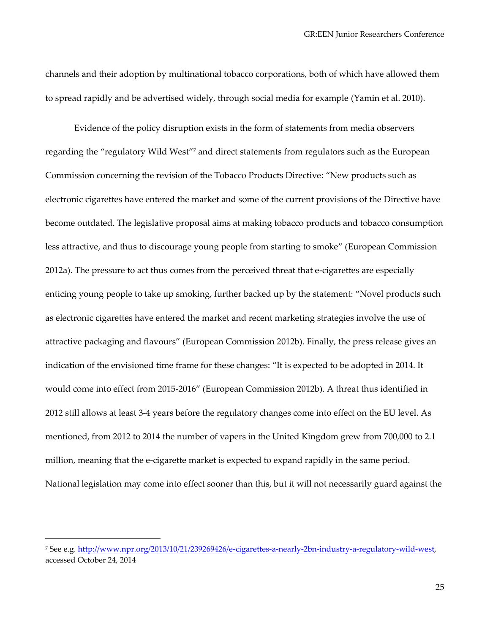channels and their adoption by multinational tobacco corporations, both of which have allowed them to spread rapidly and be advertised widely, through social media for example (Yamin et al. 2010).

Evidence of the policy disruption exists in the form of statements from media observers regarding the "regulatory Wild West"<sup>7</sup> and direct statements from regulators such as the European Commission concerning the revision of the Tobacco Products Directive: "New products such as electronic cigarettes have entered the market and some of the current provisions of the Directive have become outdated. The legislative proposal aims at making tobacco products and tobacco consumption less attractive, and thus to discourage young people from starting to smoke" (European Commission 2012a). The pressure to act thus comes from the perceived threat that e-cigarettes are especially enticing young people to take up smoking, further backed up by the statement: "Novel products such as electronic cigarettes have entered the market and recent marketing strategies involve the use of attractive packaging and flavours" (European Commission 2012b). Finally, the press release gives an indication of the envisioned time frame for these changes: "It is expected to be adopted in 2014. It would come into effect from 2015-2016" (European Commission 2012b). A threat thus identified in 2012 still allows at least 3-4 years before the regulatory changes come into effect on the EU level. As mentioned, from 2012 to 2014 the number of vapers in the United Kingdom grew from 700,000 to 2.1 million, meaning that the e-cigarette market is expected to expand rapidly in the same period. National legislation may come into effect sooner than this, but it will not necessarily guard against the

<sup>&</sup>lt;sup>7</sup> See e.g. [http://www.npr.org/2013/10/21/239269426/e-cigarettes-a-nearly-2bn-industry-a-regulatory-wild-west,](http://www.npr.org/2013/10/21/239269426/e-cigarettes-a-nearly-2bn-industry-a-regulatory-wild-west) accessed October 24, 2014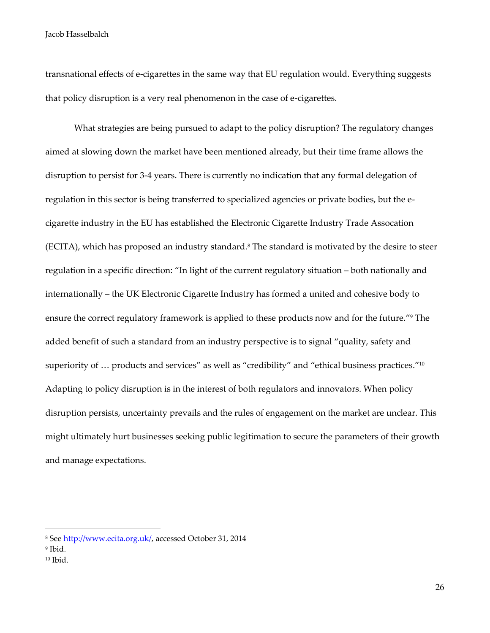transnational effects of e-cigarettes in the same way that EU regulation would. Everything suggests that policy disruption is a very real phenomenon in the case of e-cigarettes.

What strategies are being pursued to adapt to the policy disruption? The regulatory changes aimed at slowing down the market have been mentioned already, but their time frame allows the disruption to persist for 3-4 years. There is currently no indication that any formal delegation of regulation in this sector is being transferred to specialized agencies or private bodies, but the ecigarette industry in the EU has established the Electronic Cigarette Industry Trade Assocation (ECITA), which has proposed an industry standard.<sup>8</sup> The standard is motivated by the desire to steer regulation in a specific direction: "In light of the current regulatory situation – both nationally and internationally – the UK Electronic Cigarette Industry has formed a united and cohesive body to ensure the correct regulatory framework is applied to these products now and for the future." <sup>9</sup> The added benefit of such a standard from an industry perspective is to signal "quality, safety and superiority of  $...$  products and services" as well as "credibility" and "ethical business practices." $^{\scriptscriptstyle 10}$ Adapting to policy disruption is in the interest of both regulators and innovators. When policy disruption persists, uncertainty prevails and the rules of engagement on the market are unclear. This might ultimately hurt businesses seeking public legitimation to secure the parameters of their growth and manage expectations.

<sup>8</sup> See [http://www.ecita.org.uk/,](http://www.ecita.org.uk/) accessed October 31, 2014

<sup>9</sup> Ibid.

<sup>10</sup> Ibid.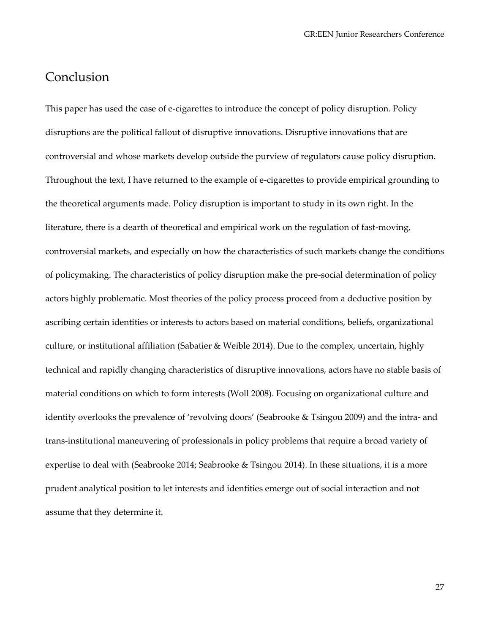### **Conclusion**

This paper has used the case of e-cigarettes to introduce the concept of policy disruption. Policy disruptions are the political fallout of disruptive innovations. Disruptive innovations that are controversial and whose markets develop outside the purview of regulators cause policy disruption. Throughout the text, I have returned to the example of e-cigarettes to provide empirical grounding to the theoretical arguments made. Policy disruption is important to study in its own right. In the literature, there is a dearth of theoretical and empirical work on the regulation of fast-moving, controversial markets, and especially on how the characteristics of such markets change the conditions of policymaking. The characteristics of policy disruption make the pre-social determination of policy actors highly problematic. Most theories of the policy process proceed from a deductive position by ascribing certain identities or interests to actors based on material conditions, beliefs, organizational culture, or institutional affiliation (Sabatier & Weible 2014). Due to the complex, uncertain, highly technical and rapidly changing characteristics of disruptive innovations, actors have no stable basis of material conditions on which to form interests (Woll 2008). Focusing on organizational culture and identity overlooks the prevalence of 'revolving doors' (Seabrooke & Tsingou 2009) and the intra- and trans-institutional maneuvering of professionals in policy problems that require a broad variety of expertise to deal with (Seabrooke 2014; Seabrooke & Tsingou 2014). In these situations, it is a more prudent analytical position to let interests and identities emerge out of social interaction and not assume that they determine it.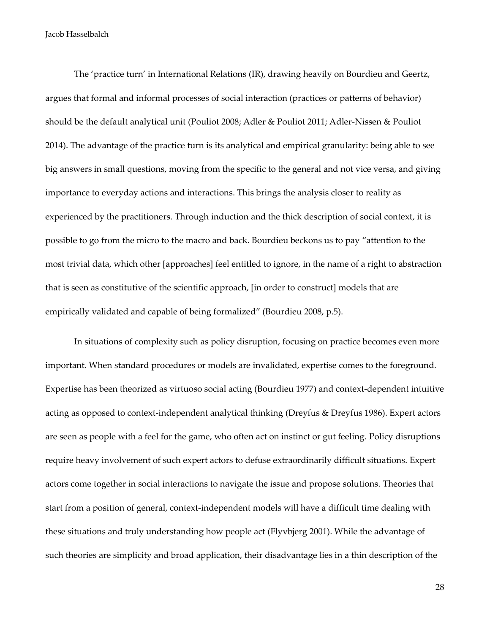The 'practice turn' in International Relations (IR), drawing heavily on Bourdieu and Geertz, argues that formal and informal processes of social interaction (practices or patterns of behavior) should be the default analytical unit (Pouliot 2008; Adler & Pouliot 2011; Adler-Nissen & Pouliot 2014). The advantage of the practice turn is its analytical and empirical granularity: being able to see big answers in small questions, moving from the specific to the general and not vice versa, and giving importance to everyday actions and interactions. This brings the analysis closer to reality as experienced by the practitioners. Through induction and the thick description of social context, it is possible to go from the micro to the macro and back. Bourdieu beckons us to pay "attention to the most trivial data, which other [approaches] feel entitled to ignore, in the name of a right to abstraction that is seen as constitutive of the scientific approach, [in order to construct] models that are empirically validated and capable of being formalized" (Bourdieu 2008, p.5).

In situations of complexity such as policy disruption, focusing on practice becomes even more important. When standard procedures or models are invalidated, expertise comes to the foreground. Expertise has been theorized as virtuoso social acting (Bourdieu 1977) and context-dependent intuitive acting as opposed to context-independent analytical thinking (Dreyfus & Dreyfus 1986). Expert actors are seen as people with a feel for the game, who often act on instinct or gut feeling. Policy disruptions require heavy involvement of such expert actors to defuse extraordinarily difficult situations. Expert actors come together in social interactions to navigate the issue and propose solutions. Theories that start from a position of general, context-independent models will have a difficult time dealing with these situations and truly understanding how people act (Flyvbjerg 2001). While the advantage of such theories are simplicity and broad application, their disadvantage lies in a thin description of the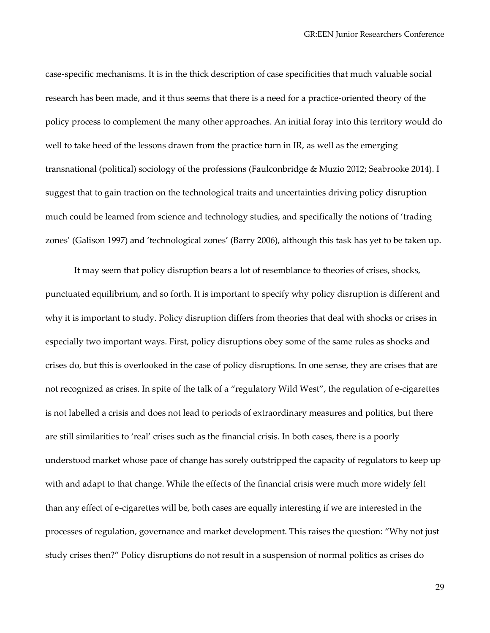case-specific mechanisms. It is in the thick description of case specificities that much valuable social research has been made, and it thus seems that there is a need for a practice-oriented theory of the policy process to complement the many other approaches. An initial foray into this territory would do well to take heed of the lessons drawn from the practice turn in IR, as well as the emerging transnational (political) sociology of the professions (Faulconbridge & Muzio 2012; Seabrooke 2014). I suggest that to gain traction on the technological traits and uncertainties driving policy disruption much could be learned from science and technology studies, and specifically the notions of 'trading zones' (Galison 1997) and 'technological zones' (Barry 2006), although this task has yet to be taken up.

It may seem that policy disruption bears a lot of resemblance to theories of crises, shocks, punctuated equilibrium, and so forth. It is important to specify why policy disruption is different and why it is important to study. Policy disruption differs from theories that deal with shocks or crises in especially two important ways. First, policy disruptions obey some of the same rules as shocks and crises do, but this is overlooked in the case of policy disruptions. In one sense, they are crises that are not recognized as crises. In spite of the talk of a "regulatory Wild West", the regulation of e-cigarettes is not labelled a crisis and does not lead to periods of extraordinary measures and politics, but there are still similarities to 'real' crises such as the financial crisis. In both cases, there is a poorly understood market whose pace of change has sorely outstripped the capacity of regulators to keep up with and adapt to that change. While the effects of the financial crisis were much more widely felt than any effect of e-cigarettes will be, both cases are equally interesting if we are interested in the processes of regulation, governance and market development. This raises the question: "Why not just study crises then?" Policy disruptions do not result in a suspension of normal politics as crises do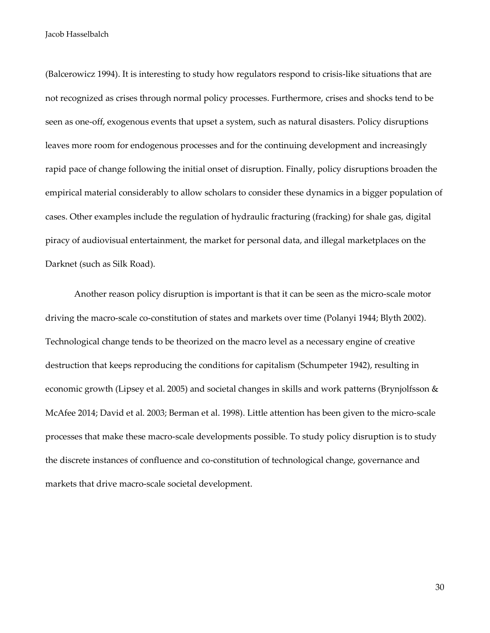(Balcerowicz 1994). It is interesting to study how regulators respond to crisis-like situations that are not recognized as crises through normal policy processes. Furthermore, crises and shocks tend to be seen as one-off, exogenous events that upset a system, such as natural disasters. Policy disruptions leaves more room for endogenous processes and for the continuing development and increasingly rapid pace of change following the initial onset of disruption. Finally, policy disruptions broaden the empirical material considerably to allow scholars to consider these dynamics in a bigger population of cases. Other examples include the regulation of hydraulic fracturing (fracking) for shale gas, digital piracy of audiovisual entertainment, the market for personal data, and illegal marketplaces on the Darknet (such as Silk Road).

Another reason policy disruption is important is that it can be seen as the micro-scale motor driving the macro-scale co-constitution of states and markets over time (Polanyi 1944; Blyth 2002). Technological change tends to be theorized on the macro level as a necessary engine of creative destruction that keeps reproducing the conditions for capitalism (Schumpeter 1942), resulting in economic growth (Lipsey et al. 2005) and societal changes in skills and work patterns (Brynjolfsson & McAfee 2014; David et al. 2003; Berman et al. 1998). Little attention has been given to the micro-scale processes that make these macro-scale developments possible. To study policy disruption is to study the discrete instances of confluence and co-constitution of technological change, governance and markets that drive macro-scale societal development.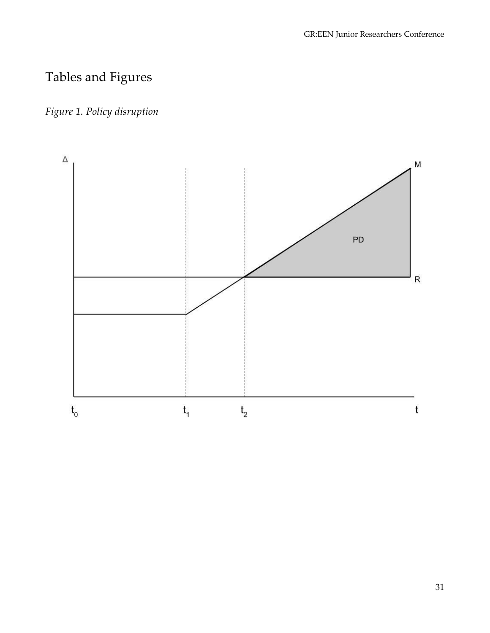## Tables and Figures

## *Figure 1. Policy disruption*

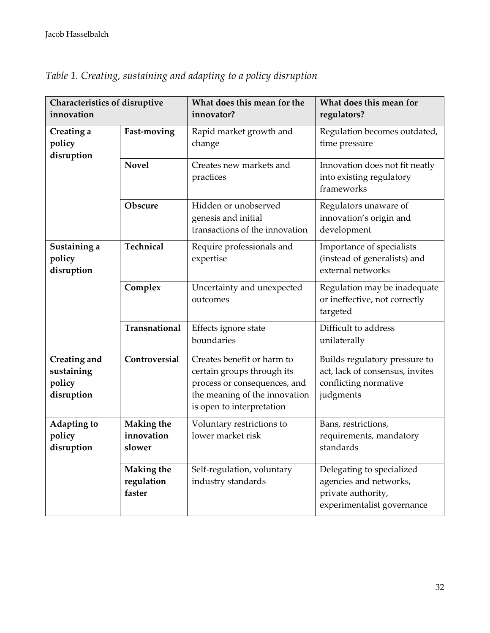| Characteristics of disruptive<br>innovation        |                                           | What does this mean for the<br>innovator?                                                                                                              | What does this mean for<br>regulators?                                                                  |
|----------------------------------------------------|-------------------------------------------|--------------------------------------------------------------------------------------------------------------------------------------------------------|---------------------------------------------------------------------------------------------------------|
| Creating a<br>policy<br>disruption                 | Fast-moving                               | Rapid market growth and<br>change                                                                                                                      | Regulation becomes outdated,<br>time pressure                                                           |
|                                                    | <b>Novel</b>                              | Creates new markets and<br>practices                                                                                                                   | Innovation does not fit neatly<br>into existing regulatory<br>frameworks                                |
|                                                    | Obscure                                   | Hidden or unobserved<br>genesis and initial<br>transactions of the innovation                                                                          | Regulators unaware of<br>innovation's origin and<br>development                                         |
| Sustaining a<br>policy<br>disruption               | Technical                                 | Require professionals and<br>expertise                                                                                                                 | Importance of specialists<br>(instead of generalists) and<br>external networks                          |
|                                                    | Complex                                   | Uncertainty and unexpected<br>outcomes                                                                                                                 | Regulation may be inadequate<br>or ineffective, not correctly<br>targeted                               |
|                                                    | Transnational                             | Effects ignore state<br>boundaries                                                                                                                     | Difficult to address<br>unilaterally                                                                    |
| Creating and<br>sustaining<br>policy<br>disruption | Controversial                             | Creates benefit or harm to<br>certain groups through its<br>process or consequences, and<br>the meaning of the innovation<br>is open to interpretation | Builds regulatory pressure to<br>act, lack of consensus, invites<br>conflicting normative<br>judgments  |
| Adapting to<br>policy<br>disruption                | <b>Making the</b><br>innovation<br>slower | Voluntary restrictions to<br>lower market risk                                                                                                         | Bans, restrictions,<br>requirements, mandatory<br>standards                                             |
|                                                    | <b>Making the</b><br>regulation<br>faster | Self-regulation, voluntary<br>industry standards                                                                                                       | Delegating to specialized<br>agencies and networks,<br>private authority,<br>experimentalist governance |

*Table 1. Creating, sustaining and adapting to a policy disruption*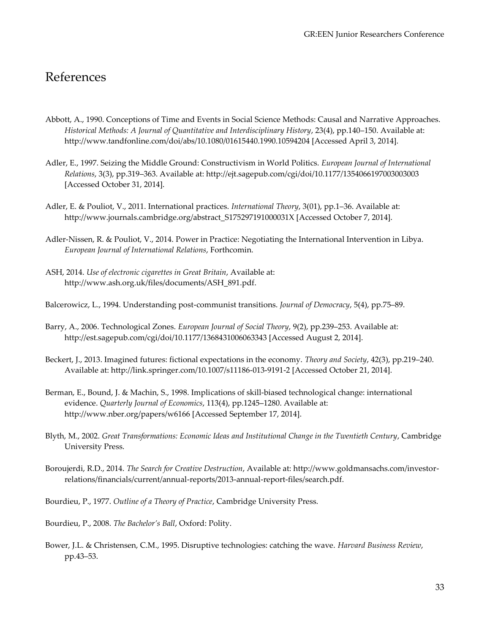## References

- Abbott, A., 1990. Conceptions of Time and Events in Social Science Methods: Causal and Narrative Approaches. *Historical Methods: A Journal of Quantitative and Interdisciplinary History*, 23(4), pp.140–150. Available at: http://www.tandfonline.com/doi/abs/10.1080/01615440.1990.10594204 [Accessed April 3, 2014].
- Adler, E., 1997. Seizing the Middle Ground: Constructivism in World Politics. *European Journal of International Relations*, 3(3), pp.319–363. Available at: http://ejt.sagepub.com/cgi/doi/10.1177/1354066197003003003 [Accessed October 31, 2014].
- Adler, E. & Pouliot, V., 2011. International practices. *International Theory*, 3(01), pp.1–36. Available at: http://www.journals.cambridge.org/abstract\_S175297191000031X [Accessed October 7, 2014].
- Adler-Nissen, R. & Pouliot, V., 2014. Power in Practice: Negotiating the International Intervention in Libya. *European Journal of International Relations*, Forthcomin.
- ASH, 2014. *Use of electronic cigarettes in Great Britain*, Available at: http://www.ash.org.uk/files/documents/ASH\_891.pdf.
- Balcerowicz, L., 1994. Understanding post-communist transitions. *Journal of Democracy*, 5(4), pp.75–89.
- Barry, A., 2006. Technological Zones. *European Journal of Social Theory*, 9(2), pp.239–253. Available at: http://est.sagepub.com/cgi/doi/10.1177/1368431006063343 [Accessed August 2, 2014].
- Beckert, J., 2013. Imagined futures: fictional expectations in the economy. *Theory and Society*, 42(3), pp.219–240. Available at: http://link.springer.com/10.1007/s11186-013-9191-2 [Accessed October 21, 2014].
- Berman, E., Bound, J. & Machin, S., 1998. Implications of skill-biased technological change: international evidence. *Quarterly Journal of Economics*, 113(4), pp.1245–1280. Available at: http://www.nber.org/papers/w6166 [Accessed September 17, 2014].
- Blyth, M., 2002. *Great Transformations: Economic Ideas and Institutional Change in the Twentieth Century*, Cambridge University Press.
- Boroujerdi, R.D., 2014. *The Search for Creative Destruction*, Available at: http://www.goldmansachs.com/investorrelations/financials/current/annual-reports/2013-annual-report-files/search.pdf.
- Bourdieu, P., 1977. *Outline of a Theory of Practice*, Cambridge University Press.
- Bourdieu, P., 2008. *The Bachelor's Ball*, Oxford: Polity.
- Bower, J.L. & Christensen, C.M., 1995. Disruptive technologies: catching the wave. *Harvard Business Review*, pp.43–53.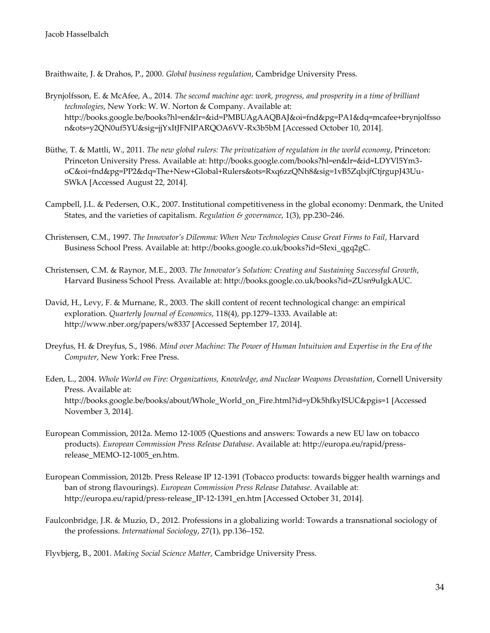Braithwaite, J. & Drahos, P., 2000. *Global business regulation*, Cambridge University Press.

- Brynjolfsson, E. & McAfee, A., 2014. *The second machine age: work, progress, and prosperity in a time of brilliant technologies*, New York: W. W. Norton & Company. Available at: http://books.google.be/books?hl=en&lr=&id=PMBUAgAAQBAJ&oi=fnd&pg=PA1&dq=mcafee+brynjolfsso n&ots=y2QN0uf5YU&sig=jjYxItJFNIPARQOA6VV-Rx3b5bM [Accessed October 10, 2014].
- Büthe, T. & Mattli, W., 2011. *The new global rulers: The privatization of regulation in the world economy*, Princeton: Princeton University Press. Available at: http://books.google.com/books?hl=en&lr=&id=LDYVl5Ym3 oC&oi=fnd&pg=PP2&dq=The+New+Global+Rulers&ots=Rxq6zzQNh8&sig=1vB5ZqlxjfCtjrgupJ43Uu-SWkA [Accessed August 22, 2014].
- Campbell, J.L. & Pedersen, O.K., 2007. Institutional competitiveness in the global economy: Denmark, the United States, and the varieties of capitalism. *Regulation & governance*, 1(3), pp.230–246.
- Christensen, C.M., 1997. *The Innovator's Dilemma: When New Technologies Cause Great Firms to Fail*, Harvard Business School Press. Available at: http://books.google.co.uk/books?id=SIexi\_qgq2gC.
- Christensen, C.M. & Raynor, M.E., 2003. *The Innovator's Solution: Creating and Sustaining Successful Growth*, Harvard Business School Press. Available at: http://books.google.co.uk/books?id=ZUsn9uIgkAUC.
- David, H., Levy, F. & Murnane, R., 2003. The skill content of recent technological change: an empirical exploration. *Quarterly Journal of Economics*, 118(4), pp.1279–1333. Available at: http://www.nber.org/papers/w8337 [Accessed September 17, 2014].
- Dreyfus, H. & Dreyfus, S., 1986. *Mind over Machine: The Power of Human Intuituion and Expertise in the Era of the Computer*, New York: Free Press.
- Eden, L., 2004. *Whole World on Fire: Organizations, Knowledge, and Nuclear Weapons Devastation*, Cornell University Press. Available at: http://books.google.be/books/about/Whole\_World\_on\_Fire.html?id=yDk5hfkyISUC&pgis=1 [Accessed November 3, 2014].
- European Commission, 2012a. Memo 12-1005 (Questions and answers: Towards a new EU law on tobacco products). *European Commission Press Release Database*. Available at: http://europa.eu/rapid/pressrelease\_MEMO-12-1005\_en.htm.
- European Commission, 2012b. Press Release IP 12-1391 (Tobacco products: towards bigger health warnings and ban of strong flavourings). *European Commission Press Release Database*. Available at: http://europa.eu/rapid/press-release\_IP-12-1391\_en.htm [Accessed October 31, 2014].
- Faulconbridge, J.R. & Muzio, D., 2012. Professions in a globalizing world: Towards a transnational sociology of the professions. *International Sociology*, 27(1), pp.136–152.

Flyvbjerg, B., 2001. *Making Social Science Matter*, Cambridge University Press.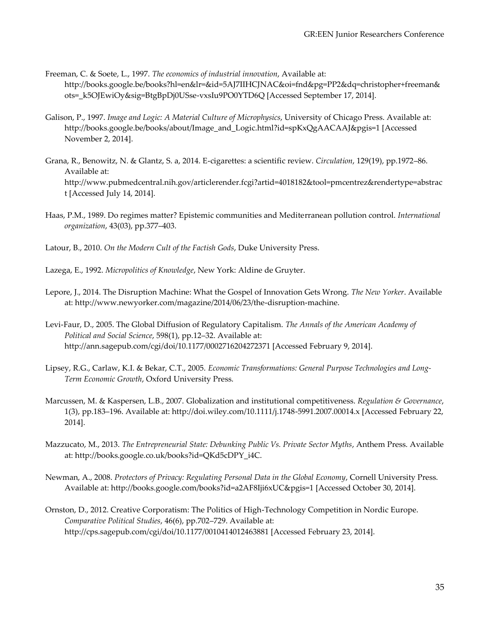Freeman, C. & Soete, L., 1997. *The economics of industrial innovation*, Available at: http://books.google.be/books?hl=en&lr=&id=5AJ7IIHCJNAC&oi=fnd&pg=PP2&dq=christopher+freeman& ots=\_k5OJEwiOy&sig=BtgBpDj0USse-vxsIu9PO0YTD6Q [Accessed September 17, 2014].

- Galison, P., 1997. *Image and Logic: A Material Culture of Microphysics*, University of Chicago Press. Available at: http://books.google.be/books/about/Image\_and\_Logic.html?id=spKxQgAACAAJ&pgis=1 [Accessed November 2, 2014].
- Grana, R., Benowitz, N. & Glantz, S. a, 2014. E-cigarettes: a scientific review. *Circulation*, 129(19), pp.1972–86. Available at: http://www.pubmedcentral.nih.gov/articlerender.fcgi?artid=4018182&tool=pmcentrez&rendertype=abstrac t [Accessed July 14, 2014].
- Haas, P.M., 1989. Do regimes matter? Epistemic communities and Mediterranean pollution control. *International organization*, 43(03), pp.377–403.
- Latour, B., 2010. *On the Modern Cult of the Factish Gods*, Duke University Press.
- Lazega, E., 1992. *Micropolitics of Knowledge*, New York: Aldine de Gruyter.
- Lepore, J., 2014. The Disruption Machine: What the Gospel of Innovation Gets Wrong. *The New Yorker*. Available at: http://www.newyorker.com/magazine/2014/06/23/the-disruption-machine.
- Levi-Faur, D., 2005. The Global Diffusion of Regulatory Capitalism. *The Annals of the American Academy of Political and Social Science*, 598(1), pp.12–32. Available at: http://ann.sagepub.com/cgi/doi/10.1177/0002716204272371 [Accessed February 9, 2014].
- Lipsey, R.G., Carlaw, K.I. & Bekar, C.T., 2005. *Economic Transformations: General Purpose Technologies and Long-Term Economic Growth*, Oxford University Press.
- Marcussen, M. & Kaspersen, L.B., 2007. Globalization and institutional competitiveness. *Regulation & Governance*, 1(3), pp.183–196. Available at: http://doi.wiley.com/10.1111/j.1748-5991.2007.00014.x [Accessed February 22, 2014].
- Mazzucato, M., 2013. *The Entrepreneurial State: Debunking Public Vs. Private Sector Myths*, Anthem Press. Available at: http://books.google.co.uk/books?id=QKd5cDPY\_i4C.
- Newman, A., 2008. *Protectors of Privacy: Regulating Personal Data in the Global Economy*, Cornell University Press. Available at: http://books.google.com/books?id=a2AF8Iji6xUC&pgis=1 [Accessed October 30, 2014].
- Ornston, D., 2012. Creative Corporatism: The Politics of High-Technology Competition in Nordic Europe. *Comparative Political Studies*, 46(6), pp.702–729. Available at: http://cps.sagepub.com/cgi/doi/10.1177/0010414012463881 [Accessed February 23, 2014].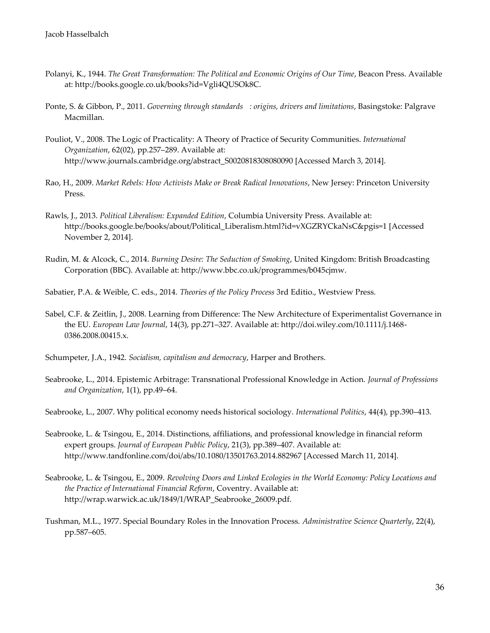- Polanyi, K., 1944. *The Great Transformation: The Political and Economic Origins of Our Time*, Beacon Press. Available at: http://books.google.co.uk/books?id=Vgli4QUSOk8C.
- Ponte, S. & Gibbon, P., 2011. *Governing through standards : origins, drivers and limitations*, Basingstoke: Palgrave Macmillan.
- Pouliot, V., 2008. The Logic of Practicality: A Theory of Practice of Security Communities. *International Organization*, 62(02), pp.257–289. Available at: http://www.journals.cambridge.org/abstract\_S0020818308080090 [Accessed March 3, 2014].
- Rao, H., 2009. *Market Rebels: How Activists Make or Break Radical Innovations*, New Jersey: Princeton University Press.
- Rawls, J., 2013. *Political Liberalism: Expanded Edition*, Columbia University Press. Available at: http://books.google.be/books/about/Political\_Liberalism.html?id=vXGZRYCkaNsC&pgis=1 [Accessed November 2, 2014].
- Rudin, M. & Alcock, C., 2014. *Burning Desire: The Seduction of Smoking*, United Kingdom: British Broadcasting Corporation (BBC). Available at: http://www.bbc.co.uk/programmes/b045cjmw.

Sabatier, P.A. & Weible, C. eds., 2014. *Theories of the Policy Process* 3rd Editio., Westview Press.

Sabel, C.F. & Zeitlin, J., 2008. Learning from Difference: The New Architecture of Experimentalist Governance in the EU. *European Law Journal*, 14(3), pp.271–327. Available at: http://doi.wiley.com/10.1111/j.1468- 0386.2008.00415.x.

Schumpeter, J.A., 1942. *Socialism, capitalism and democracy*, Harper and Brothers.

Seabrooke, L., 2014. Epistemic Arbitrage: Transnational Professional Knowledge in Action. *Journal of Professions and Organization*, 1(1), pp.49–64.

Seabrooke, L., 2007. Why political economy needs historical sociology. *International Politics*, 44(4), pp.390–413.

- Seabrooke, L. & Tsingou, E., 2014. Distinctions, affiliations, and professional knowledge in financial reform expert groups. *Journal of European Public Policy*, 21(3), pp.389–407. Available at: http://www.tandfonline.com/doi/abs/10.1080/13501763.2014.882967 [Accessed March 11, 2014].
- Seabrooke, L. & Tsingou, E., 2009. *Revolving Doors and Linked Ecologies in the World Economy: Policy Locations and the Practice of International Financial Reform*, Coventry. Available at: http://wrap.warwick.ac.uk/1849/1/WRAP\_Seabrooke\_26009.pdf.
- Tushman, M.L., 1977. Special Boundary Roles in the Innovation Process. *Administrative Science Quarterly*, 22(4), pp.587–605.